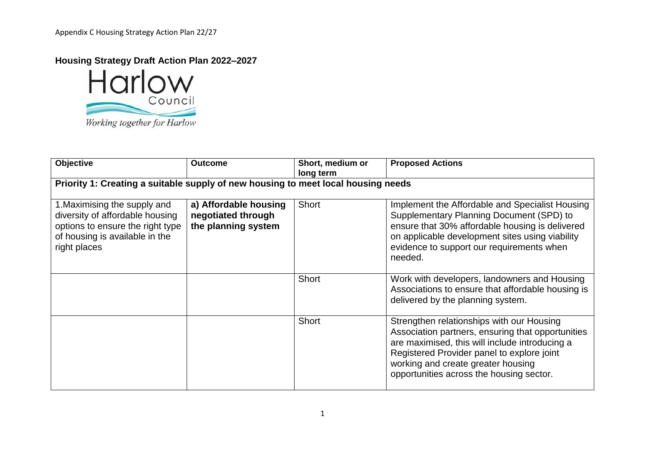

| Objective                                                                                                                                             | <b>Outcome</b>                                                     | Short, medium or<br>long term | <b>Proposed Actions</b>                                                                                                                                                                                                                                                          |
|-------------------------------------------------------------------------------------------------------------------------------------------------------|--------------------------------------------------------------------|-------------------------------|----------------------------------------------------------------------------------------------------------------------------------------------------------------------------------------------------------------------------------------------------------------------------------|
| Priority 1: Creating a suitable supply of new housing to meet local housing needs                                                                     |                                                                    |                               |                                                                                                                                                                                                                                                                                  |
| 1. Maximising the supply and<br>diversity of affordable housing<br>options to ensure the right type<br>of housing is available in the<br>right places | a) Affordable housing<br>negotiated through<br>the planning system | Short                         | Implement the Affordable and Specialist Housing<br>Supplementary Planning Document (SPD) to<br>ensure that 30% affordable housing is delivered<br>on applicable development sites using viability<br>evidence to support our requirements when<br>needed.                        |
|                                                                                                                                                       |                                                                    | Short                         | Work with developers, landowners and Housing<br>Associations to ensure that affordable housing is<br>delivered by the planning system.                                                                                                                                           |
|                                                                                                                                                       |                                                                    | Short                         | Strengthen relationships with our Housing<br>Association partners, ensuring that opportunities<br>are maximised, this will include introducing a<br>Registered Provider panel to explore joint<br>working and create greater housing<br>opportunities across the housing sector. |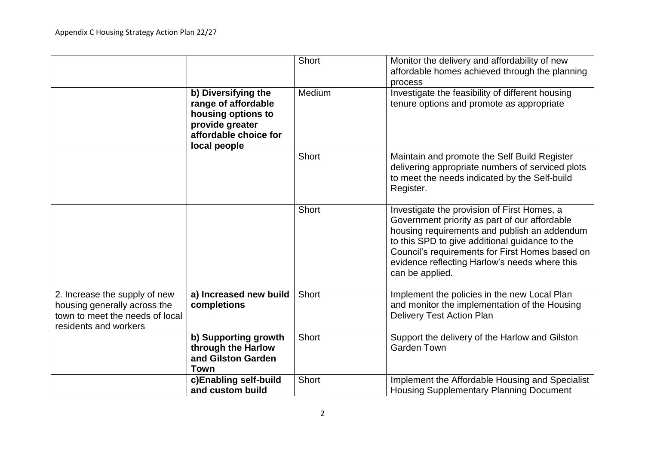|                                                                                                                           |                                                                                                                              | <b>Short</b> | Monitor the delivery and affordability of new<br>affordable homes achieved through the planning<br>process                                                                                                                                                                                                            |
|---------------------------------------------------------------------------------------------------------------------------|------------------------------------------------------------------------------------------------------------------------------|--------------|-----------------------------------------------------------------------------------------------------------------------------------------------------------------------------------------------------------------------------------------------------------------------------------------------------------------------|
|                                                                                                                           | b) Diversifying the<br>range of affordable<br>housing options to<br>provide greater<br>affordable choice for<br>local people | Medium       | Investigate the feasibility of different housing<br>tenure options and promote as appropriate                                                                                                                                                                                                                         |
|                                                                                                                           |                                                                                                                              | <b>Short</b> | Maintain and promote the Self Build Register<br>delivering appropriate numbers of serviced plots<br>to meet the needs indicated by the Self-build<br>Register.                                                                                                                                                        |
|                                                                                                                           |                                                                                                                              | <b>Short</b> | Investigate the provision of First Homes, a<br>Government priority as part of our affordable<br>housing requirements and publish an addendum<br>to this SPD to give additional guidance to the<br>Council's requirements for First Homes based on<br>evidence reflecting Harlow's needs where this<br>can be applied. |
| 2. Increase the supply of new<br>housing generally across the<br>town to meet the needs of local<br>residents and workers | a) Increased new build<br>completions                                                                                        | <b>Short</b> | Implement the policies in the new Local Plan<br>and monitor the implementation of the Housing<br><b>Delivery Test Action Plan</b>                                                                                                                                                                                     |
|                                                                                                                           | b) Supporting growth<br>through the Harlow<br>and Gilston Garden<br><b>Town</b>                                              | <b>Short</b> | Support the delivery of the Harlow and Gilston<br><b>Garden Town</b>                                                                                                                                                                                                                                                  |
|                                                                                                                           | c)Enabling self-build<br>and custom build                                                                                    | <b>Short</b> | Implement the Affordable Housing and Specialist<br><b>Housing Supplementary Planning Document</b>                                                                                                                                                                                                                     |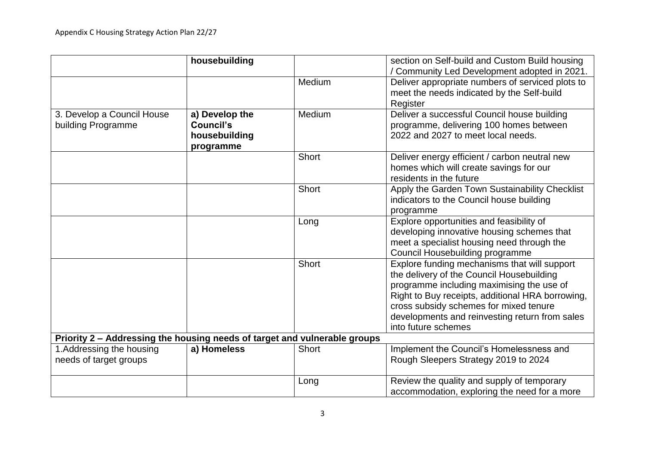|                                                                           | housebuilding                                             |              | section on Self-build and Custom Build housing<br>/ Community Led Development adopted in 2021.                                                                                                                                                                                                                |
|---------------------------------------------------------------------------|-----------------------------------------------------------|--------------|---------------------------------------------------------------------------------------------------------------------------------------------------------------------------------------------------------------------------------------------------------------------------------------------------------------|
|                                                                           |                                                           | Medium       | Deliver appropriate numbers of serviced plots to<br>meet the needs indicated by the Self-build<br>Register                                                                                                                                                                                                    |
| 3. Develop a Council House<br>building Programme                          | a) Develop the<br>Council's<br>housebuilding<br>programme | Medium       | Deliver a successful Council house building<br>programme, delivering 100 homes between<br>2022 and 2027 to meet local needs.                                                                                                                                                                                  |
|                                                                           |                                                           | <b>Short</b> | Deliver energy efficient / carbon neutral new<br>homes which will create savings for our<br>residents in the future                                                                                                                                                                                           |
|                                                                           |                                                           | <b>Short</b> | Apply the Garden Town Sustainability Checklist<br>indicators to the Council house building<br>programme                                                                                                                                                                                                       |
|                                                                           |                                                           | Long         | Explore opportunities and feasibility of<br>developing innovative housing schemes that<br>meet a specialist housing need through the<br>Council Housebuilding programme                                                                                                                                       |
|                                                                           |                                                           | <b>Short</b> | Explore funding mechanisms that will support<br>the delivery of the Council Housebuilding<br>programme including maximising the use of<br>Right to Buy receipts, additional HRA borrowing,<br>cross subsidy schemes for mixed tenure<br>developments and reinvesting return from sales<br>into future schemes |
| Priority 2 - Addressing the housing needs of target and vulnerable groups |                                                           |              |                                                                                                                                                                                                                                                                                                               |
| 1.Addressing the housing<br>needs of target groups                        | a) Homeless                                               | <b>Short</b> | Implement the Council's Homelessness and<br>Rough Sleepers Strategy 2019 to 2024                                                                                                                                                                                                                              |
|                                                                           |                                                           | Long         | Review the quality and supply of temporary<br>accommodation, exploring the need for a more                                                                                                                                                                                                                    |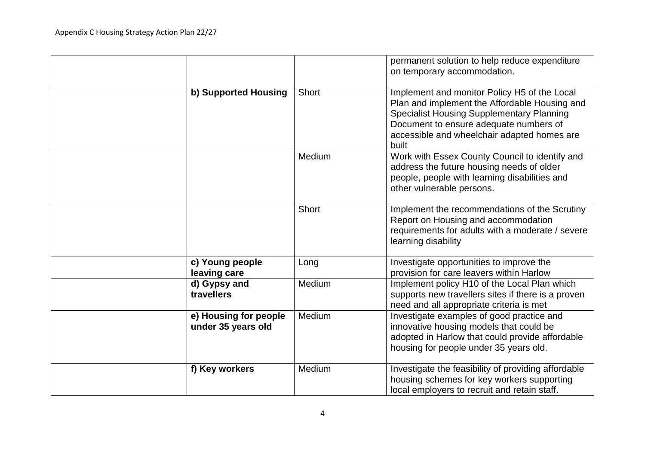|                                             |              | permanent solution to help reduce expenditure<br>on temporary accommodation.                                                                                                                                                                        |
|---------------------------------------------|--------------|-----------------------------------------------------------------------------------------------------------------------------------------------------------------------------------------------------------------------------------------------------|
| b) Supported Housing                        | <b>Short</b> | Implement and monitor Policy H5 of the Local<br>Plan and implement the Affordable Housing and<br><b>Specialist Housing Supplementary Planning</b><br>Document to ensure adequate numbers of<br>accessible and wheelchair adapted homes are<br>built |
|                                             | Medium       | Work with Essex County Council to identify and<br>address the future housing needs of older<br>people, people with learning disabilities and<br>other vulnerable persons.                                                                           |
|                                             | <b>Short</b> | Implement the recommendations of the Scrutiny<br>Report on Housing and accommodation<br>requirements for adults with a moderate / severe<br>learning disability                                                                                     |
| c) Young people<br>leaving care             | Long         | Investigate opportunities to improve the<br>provision for care leavers within Harlow                                                                                                                                                                |
| d) Gypsy and<br>travellers                  | Medium       | Implement policy H10 of the Local Plan which<br>supports new travellers sites if there is a proven<br>need and all appropriate criteria is met                                                                                                      |
| e) Housing for people<br>under 35 years old | Medium       | Investigate examples of good practice and<br>innovative housing models that could be<br>adopted in Harlow that could provide affordable<br>housing for people under 35 years old.                                                                   |
| f) Key workers                              | Medium       | Investigate the feasibility of providing affordable<br>housing schemes for key workers supporting<br>local employers to recruit and retain staff.                                                                                                   |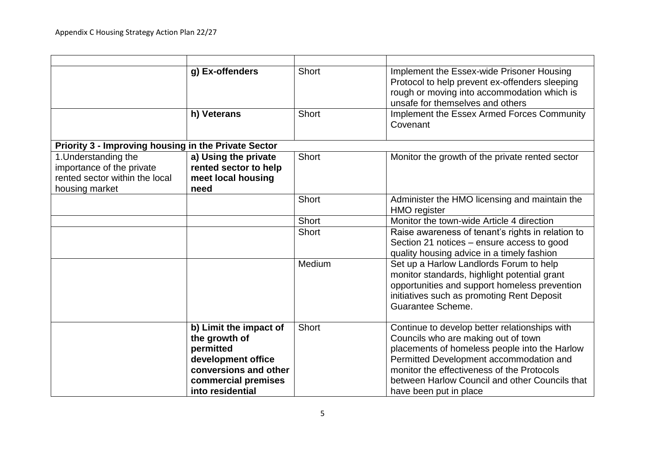|                                                                                                       | g) Ex-offenders                                                                                                                                | <b>Short</b> | Implement the Essex-wide Prisoner Housing<br>Protocol to help prevent ex-offenders sleeping<br>rough or moving into accommodation which is<br>unsafe for themselves and others                                                                                                                             |
|-------------------------------------------------------------------------------------------------------|------------------------------------------------------------------------------------------------------------------------------------------------|--------------|------------------------------------------------------------------------------------------------------------------------------------------------------------------------------------------------------------------------------------------------------------------------------------------------------------|
|                                                                                                       | h) Veterans                                                                                                                                    | <b>Short</b> | Implement the Essex Armed Forces Community<br>Covenant                                                                                                                                                                                                                                                     |
| <b>Priority 3 - Improving housing in the Private Sector</b>                                           |                                                                                                                                                |              |                                                                                                                                                                                                                                                                                                            |
| 1. Understanding the<br>importance of the private<br>rented sector within the local<br>housing market | a) Using the private<br>rented sector to help<br>meet local housing<br>need                                                                    | <b>Short</b> | Monitor the growth of the private rented sector                                                                                                                                                                                                                                                            |
|                                                                                                       |                                                                                                                                                | <b>Short</b> | Administer the HMO licensing and maintain the<br><b>HMO</b> register                                                                                                                                                                                                                                       |
|                                                                                                       |                                                                                                                                                | <b>Short</b> | Monitor the town-wide Article 4 direction                                                                                                                                                                                                                                                                  |
|                                                                                                       |                                                                                                                                                | <b>Short</b> | Raise awareness of tenant's rights in relation to<br>Section 21 notices - ensure access to good<br>quality housing advice in a timely fashion                                                                                                                                                              |
|                                                                                                       |                                                                                                                                                | Medium       | Set up a Harlow Landlords Forum to help<br>monitor standards, highlight potential grant<br>opportunities and support homeless prevention<br>initiatives such as promoting Rent Deposit<br>Guarantee Scheme.                                                                                                |
|                                                                                                       | b) Limit the impact of<br>the growth of<br>permitted<br>development office<br>conversions and other<br>commercial premises<br>into residential | <b>Short</b> | Continue to develop better relationships with<br>Councils who are making out of town<br>placements of homeless people into the Harlow<br>Permitted Development accommodation and<br>monitor the effectiveness of the Protocols<br>between Harlow Council and other Councils that<br>have been put in place |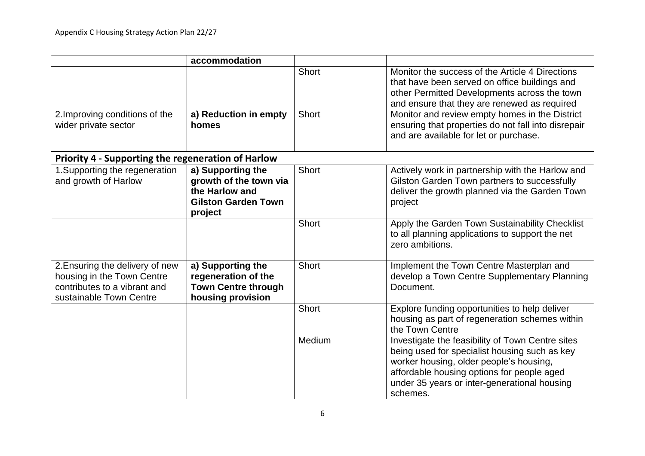|                                                                                                                          | accommodation                                                                                          |              |                                                                                                                                                                                                                                                        |
|--------------------------------------------------------------------------------------------------------------------------|--------------------------------------------------------------------------------------------------------|--------------|--------------------------------------------------------------------------------------------------------------------------------------------------------------------------------------------------------------------------------------------------------|
|                                                                                                                          |                                                                                                        | <b>Short</b> | Monitor the success of the Article 4 Directions<br>that have been served on office buildings and<br>other Permitted Developments across the town<br>and ensure that they are renewed as required                                                       |
| 2. Improving conditions of the<br>wider private sector                                                                   | a) Reduction in empty<br>homes                                                                         | <b>Short</b> | Monitor and review empty homes in the District<br>ensuring that properties do not fall into disrepair<br>and are available for let or purchase.                                                                                                        |
| <b>Priority 4 - Supporting the regeneration of Harlow</b>                                                                |                                                                                                        |              |                                                                                                                                                                                                                                                        |
| 1. Supporting the regeneration<br>and growth of Harlow                                                                   | a) Supporting the<br>growth of the town via<br>the Harlow and<br><b>Gilston Garden Town</b><br>project | Short        | Actively work in partnership with the Harlow and<br>Gilston Garden Town partners to successfully<br>deliver the growth planned via the Garden Town<br>project                                                                                          |
|                                                                                                                          |                                                                                                        | <b>Short</b> | Apply the Garden Town Sustainability Checklist<br>to all planning applications to support the net<br>zero ambitions.                                                                                                                                   |
| 2. Ensuring the delivery of new<br>housing in the Town Centre<br>contributes to a vibrant and<br>sustainable Town Centre | a) Supporting the<br>regeneration of the<br><b>Town Centre through</b><br>housing provision            | <b>Short</b> | Implement the Town Centre Masterplan and<br>develop a Town Centre Supplementary Planning<br>Document.                                                                                                                                                  |
|                                                                                                                          |                                                                                                        | <b>Short</b> | Explore funding opportunities to help deliver<br>housing as part of regeneration schemes within<br>the Town Centre                                                                                                                                     |
|                                                                                                                          |                                                                                                        | Medium       | Investigate the feasibility of Town Centre sites<br>being used for specialist housing such as key<br>worker housing, older people's housing,<br>affordable housing options for people aged<br>under 35 years or inter-generational housing<br>schemes. |